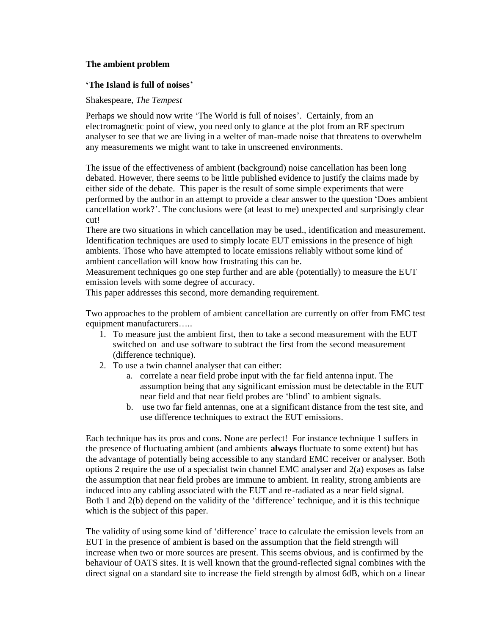# **The ambient problem**

### **'The Island is full of noises**

### Shakespeare, *The Tempest*

Perhaps we should now write 'The World is full of noises'. Certainly, from an electromagnetic point of view, you need only to glance at the plot from an RF spectrum analyser to see that we are living in a welter of man-made noise that threatens to overwhelm any measurements we might want to take in unscreened environments.

The issue of the effectiveness of ambient (background) noise cancellation has been long debated. However, there seems to be little published evidence to justify the claims made by either side of the debate. This paper is the result of some simple experiments that were performed by the author in an attempt to provide a clear answer to the question 'Does ambient cancellation work?". The conclusions were (at least to me) unexpected and surprisingly clear cut!

There are two situations in which cancellation may be used., identification and measurement. Identification techniques are used to simply locate EUT emissions in the presence of high ambients. Those who have attempted to locate emissions reliably without some kind of ambient cancellation will know how frustrating this can be.

Measurement techniques go one step further and are able (potentially) to measure the EUT emission levels with some degree of accuracy.

This paper addresses this second, more demanding requirement.

Two approaches to the problem of ambient cancellation are currently on offer from EMC test equipment manufacturers.....

- 1. To measure just the ambient first, then to take a second measurement with the EUT switched on and use software to subtract the first from the second measurement (difference technique).
- 2. To use a twin channel analyser that can either:
	- a. correlate a near field probe input with the far field antenna input. The assumption being that any significant emission must be detectable in the EUT near field and that near field probes are 'blind' to ambient signals.
	- b. use two far field antennas, one at a significant distance from the test site, and use difference techniques to extract the EUT emissions.

Each technique has its pros and cons. None are perfect! For instance technique 1 suffers in the presence of fluctuating ambient (and ambients **always** fluctuate to some extent) but has the advantage of potentially being accessible to any standard EMC receiver or analyser. Both options 2 require the use of a specialist twin channel EMC analyser and 2(a) exposes as false the assumption that near field probes are immune to ambient. In reality, strong ambients are induced into any cabling associated with the EUT and re-radiated as a near field signal. Both 1 and 2(b) depend on the validity of the 'difference' technique, and it is this technique which is the subject of this paper.

The validity of using some kind of 'difference' trace to calculate the emission levels from an EUT in the presence of ambient is based on the assumption that the field strength will increase when two or more sources are present. This seems obvious, and is confirmed by the behaviour of OATS sites. It is well known that the ground-reflected signal combines with the direct signal on a standard site to increase the field strength by almost 6dB, which on a linear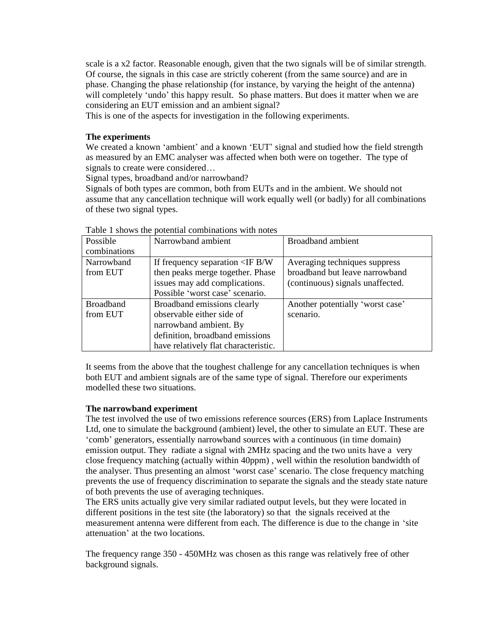scale is a x2 factor. Reasonable enough, given that the two signals will be of similar strength. Of course, the signals in this case are strictly coherent (from the same source) and are in phase. Changing the phase relationship (for instance, by varying the height of the antenna) will completely 'undo' this happy result. So phase matters. But does it matter when we are considering an EUT emission and an ambient signal?

This is one of the aspects for investigation in the following experiments.

### **The experiments**

We created a known 'ambient' and a known 'EUT' signal and studied how the field strength as measured by an EMC analyser was affected when both were on together. The type of signals to create were considered...

Signal types, broadband and/or narrowband?

Signals of both types are common, both from EUTs and in the ambient. We should not assume that any cancellation technique will work equally well (or badly) for all combinations of these two signal types.

| Possible         | Narrowband ambient                       | <b>Broadband</b> ambient         |
|------------------|------------------------------------------|----------------------------------|
| combinations     |                                          |                                  |
| Narrowband       | If frequency separation $\langle$ IF B/W | Averaging techniques suppress    |
| from EUT         | then peaks merge together. Phase         | broadband but leave narrowband   |
|                  | issues may add complications.            | (continuous) signals unaffected. |
|                  | Possible 'worst case' scenario.          |                                  |
| <b>Broadband</b> | Broadband emissions clearly              | Another potentially 'worst case' |
| from EUT         | observable either side of                | scenario.                        |
|                  | narrowband ambient. By                   |                                  |
|                  | definition, broadband emissions          |                                  |
|                  | have relatively flat characteristic.     |                                  |

Table 1 shows the potential combinations with notes

It seems from the above that the toughest challenge for any cancellation techniques is when both EUT and ambient signals are of the same type of signal. Therefore our experiments modelled these two situations.

# **The narrowband experiment**

The test involved the use of two emissions reference sources (ERS) from Laplace Instruments Ltd, one to simulate the background (ambient) level, the other to simulate an EUT. These are 'comb… generators, essentially narrowband sources with a continuous (in time domain) emission output. They radiate a signal with 2MHz spacing and the two units have a very close frequency matching (actually within 40ppm) , well within the resolution bandwidth of the analyser. Thus presenting an almost 'worst case' scenario. The close frequency matching prevents the use of frequency discrimination to separate the signals and the steady state nature of both prevents the use of averaging techniques.

The ERS units actually give very similar radiated output levels, but they were located in different positions in the test site (the laboratory) so that the signals received at the measurement antenna were different from each. The difference is due to the change in 'site attenuation<sup>3</sup> at the two locations.

The frequency range 350 - 450MHz was chosen as this range was relatively free of other background signals.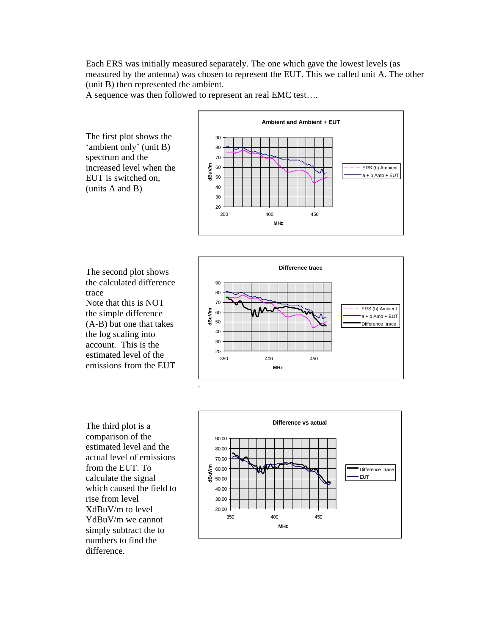Each ERS was initially measured separately. The one which gave the lowest levels (as measured by the antenna) was chosen to represent the EUT. This we called unit A. The other (unit B) then represented the ambient.

A sequence was then followed to represent an real EMC test....

The first plot shows the 'ambient only' (unit B) spectrum and the increased level when the EUT is switched on, (units A and B)



The second plot shows the calculated difference trace Note that this is NOT the simple difference (A-B) but one that takes the log scaling into account. This is the estimated level of the emissions from the EUT



The third plot is a comparison of the estimated level and the actual level of emissions from the EUT. To calculate the signal which caused the field to rise from level XdBuV/m to level YdBuV/m we cannot simply subtract the to numbers to find the difference.

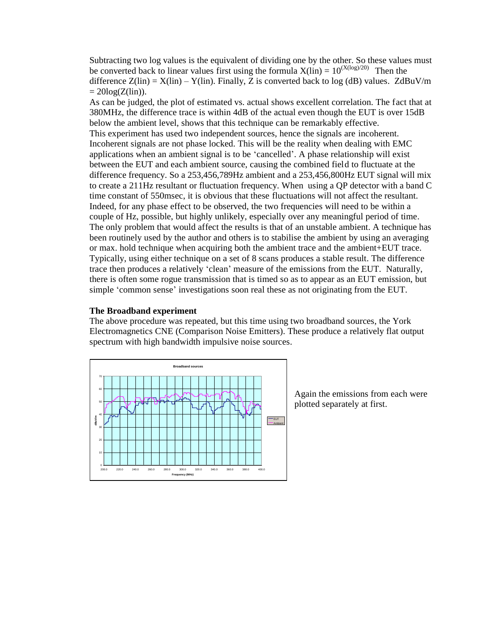Subtracting two log values is the equivalent of dividing one by the other. So these values must be converted back to linear values first using the formula  $X(\text{lin}) = 10^{(X(\log)/20)}$  Then the difference  $Z(\text{lin}) = X(\text{lin}) - Y(\text{lin})$ . Finally, Z is converted back to log (dB) values.  $ZdBuV/m$  $= 20\log(Z(\text{lin}))$ .

As can be judged, the plot of estimated vs. actual shows excellent correlation. The fact that at 380MHz, the difference trace is within 4dB of the actual even though the EUT is over 15dB below the ambient level, shows that this technique can be remarkably effective. This experiment has used two independent sources, hence the signals are incoherent. Incoherent signals are not phase locked. This will be the reality when dealing with EMC applications when an ambient signal is to be 'cancelled…. A phase relationship will exist between the EUT and each ambient source, causing the combined field to fluctuate at the difference frequency. So a 253,456,789Hz ambient and a 253,456,800Hz EUT signal will mix to create a 211Hz resultant or fluctuation frequency. When using a QP detector with a band C time constant of 550msec, it is obvious that these fluctuations will not affect the resultant. Indeed, for any phase effect to be observed, the two frequencies will need to be within a couple of Hz, possible, but highly unlikely, especially over any meaningful period of time. The only problem that would affect the results is that of an unstable ambient. A technique has been routinely used by the author and others is to stabilise the ambient by using an averaging or max. hold technique when acquiring both the ambient trace and the ambient+EUT trace. Typically, using either technique on a set of 8 scans produces a stable result. The difference trace then produces a relatively 'clean' measure of the emissions from the EUT. Naturally, there is often some rogue transmission that is timed so as to appear as an EUT emission, but simple 'common sense' investigations soon real these as not originating from the EUT.

### **The Broadband experiment**

The above procedure was repeated, but this time using two broadband sources, the York Electromagnetics CNE (Comparison Noise Emitters). These produce a relatively flat output spectrum with high bandwidth impulsive noise sources.



Again the emissions from each were plotted separately at first.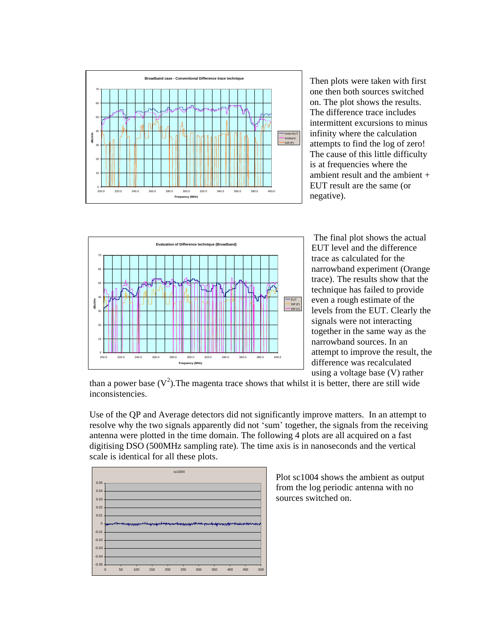

Then plots were taken with first one then both sources switched on. The plot shows the results. The difference trace includes intermittent excursions to minus infinity where the calculation attempts to find the log of zero! The cause of this little difficulty is at frequencies where the ambient result and the ambient + EUT result are the same (or negative).



 The final plot shows the actual EUT level and the difference trace as calculated for the narrowband experiment (Orange trace). The results show that the technique has failed to provide even a rough estimate of the levels from the EUT. Clearly the signals were not interacting together in the same way as the narrowband sources. In an attempt to improve the result, the difference was recalculated using a voltage base (V) rather

than a power base  $(V^2)$ . The magenta trace shows that whilst it is better, there are still wide inconsistencies.

Use of the QP and Average detectors did not significantly improve matters. In an attempt to resolve why the two signals apparently did not 'sum' together, the signals from the receiving antenna were plotted in the time domain. The following 4 plots are all acquired on a fast digitising DSO (500MHz sampling rate). The time axis is in nanoseconds and the vertical scale is identical for all these plots.



Plot sc1004 shows the ambient as output from the log periodic antenna with no sources switched on.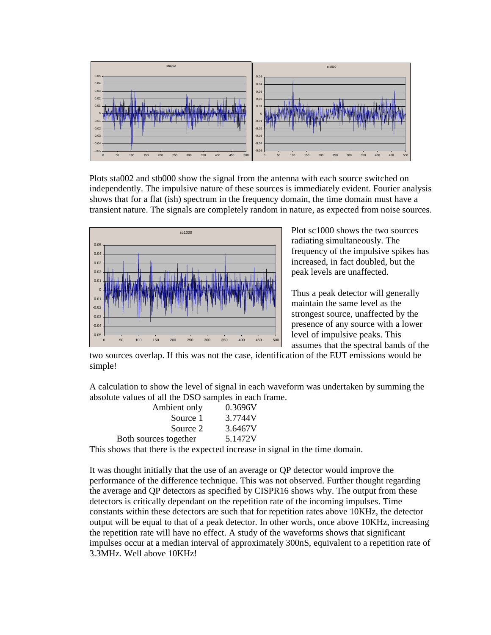

Plots sta002 and stb000 show the signal from the antenna with each source switched on independently. The impulsive nature of these sources is immediately evident. Fourier analysis shows that for a flat (ish) spectrum in the frequency domain, the time domain must have a transient nature. The signals are completely random in nature, as expected from noise sources.



Plot sc1000 shows the two sources radiating simultaneously. The frequency of the impulsive spikes has increased, in fact doubled, but the peak levels are unaffected.

Thus a peak detector will generally maintain the same level as the strongest source, unaffected by the presence of any source with a lower level of impulsive peaks. This assumes that the spectral bands of the

two sources overlap. If this was not the case, identification of the EUT emissions would be simple!

A calculation to show the level of signal in each waveform was undertaken by summing the absolute values of all the DSO samples in each frame.

| Ambient only          | 0.3696V |
|-----------------------|---------|
| Source 1              | 3.7744V |
| Source 2              | 3.6467V |
| Both sources together | 5.1472V |
|                       |         |

This shows that there is the expected increase in signal in the time domain.

It was thought initially that the use of an average or QP detector would improve the performance of the difference technique. This was not observed. Further thought regarding the average and QP detectors as specified by CISPR16 shows why. The output from these detectors is critically dependant on the repetition rate of the incoming impulses. Time constants within these detectors are such that for repetition rates above 10KHz, the detector output will be equal to that of a peak detector. In other words, once above 10KHz, increasing the repetition rate will have no effect. A study of the waveforms shows that significant impulses occur at a median interval of approximately 300nS, equivalent to a repetition rate of 3.3MHz. Well above 10KHz!